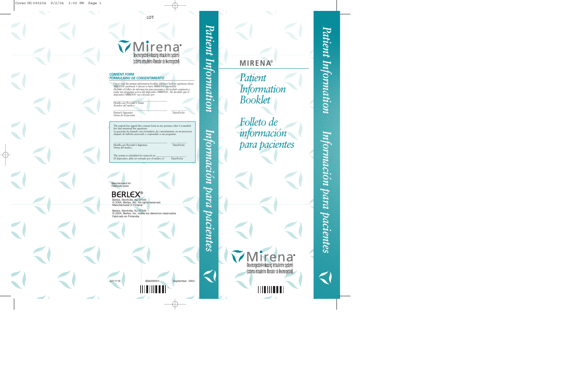

# (Boundary 1997)<br>
CONSENT FORM<br>
CONSENT FORM<br>
CONSENT FORM<br>
Inter read the patient info<br>
MRENAV answered. I cho products a stretch<br> *He listed of folletto de information assertion*<br> *The listed of folletto de information st* LOT:<br>
<br>
Specified-reliesing intradictine system)<br>
specified-reliesing intradictine system)<br>
intradiction (blocador de levonogestrel)<br>
system to bookket and have had my questions above one to have the<br>
add intradiction of t **CONSENT FORM** *FORMULARIO DE CONSENTIMIENTO* I have read the patient information booklet and have had my questions about MIRENA® answered. I choose to have MIRENA® inserted by *He leído el folleto de información para pacientes y he recibido respuesta a todas mis preguntas acerca del dispositivo* MIRENA®*. He decidido que el dispositivo* MIRENA® *sea colocado por* \_\_\_\_\_\_\_\_\_\_\_\_\_\_\_\_\_\_\_\_\_\_\_\_\_\_\_\_\_\_\_\_\_\_\_\_\_\_\_\_\_\_\_\_ Health care Provider's Name *Nombre del médico* \_\_\_\_\_\_\_\_\_\_\_\_\_\_\_\_\_\_\_\_\_\_\_\_\_\_\_\_\_\_\_\_\_\_\_\_\_\_\_\_\_\_\_\_ \_\_\_\_\_\_\_\_\_\_\_\_\_ Patient's Signature Date/*Fecha Firma de la paciente* The patient has signed this consent form in my presence after I counseled her and answered her questions. *La paciente ha firmado este formulario de consentimiento en mi presencia después de haberla asesorado y respondido a sus preguntas.* \_\_\_\_\_\_\_\_\_\_\_\_\_\_\_\_\_\_\_\_\_\_\_\_\_\_\_\_\_\_\_\_\_\_\_\_\_\_\_\_\_\_\_\_ \_\_\_\_\_\_\_\_\_\_\_\_\_ Health care Provider's Signature Date/*Fecha Firma del médico* The system is scheduled for removal on \_\_\_\_\_\_\_\_\_\_\_\_\_\_\_\_\_\_\_\_\_\_\_\_\_ *El dispositivo debe ser retirado por el médico el* Date/*Fecha*



La paciente ha firmado este formulario de consentimiento en mi presencial<br>después de babella assecorado y respondido a sus preguntas.<br>
Tetalh care Provider's Signature<br>
Tima del médico<br>
The system is scheduled for renoval

2311116 (B)6009301 September 2004

*Patient Information*

MIRENA<br>
Patient<br>
Informa<br>
Booklet<br>
Folleto<br>
informa<br>
para pa **MIRENA**® *Patient Information Booklet Folleto de información para pacientes*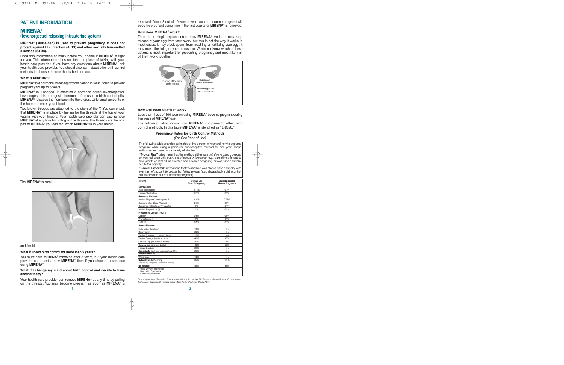# **PATIENT INFORMATION**

# **MIRENA**®

# **(levonorgestrel-releasing intrauterine system)**

# **MIRENA**® **(Mur-a¯-nah) is used to prevent pregnancy. It does not protect against HIV infection (AIDS) and other sexually transmitted diseases (STDs).**

Read this information carefully before you decide if **MIRENA**® is right for you. This information does not take the place of talking with your health care provider. If you have any questions about **MIRENA**®, ask your health care provider. You should also learn about other birth control methods to choose the one that is best for you.

# **What is MIRENA**®**?**

**MIRENA**® is a hormone-releasing system placed in your uterus to prevent pregnancy for up to 5 years.

**MIRENA**® is T-shaped. It contains a hormone called levonorgestrel. Levonorgestrel is a progestin hormone often used in birth control pills. **MIRENA**® releases the hormone into the uterus. Only small amounts of the hormone enter your blood.

Two brown threads are attached to the stem of the T. You can check that **MIRENA**® is in place by feeling for the threads at the top of your vagina with your fingers. Your health care provider can also remove **MIRENA**® at any time by pulling on the threads. The threads are the only part of **MIRENA**® you can feel when **MIRENA**® is in your uterus.



# The **MIRENA<sup>®</sup>** is small.



# and flexible

# **What if I need birth control for more than 5 years?**

You must have **MIRENA**<sup>®</sup> removed after 5 years, but your health care provider can insert a new **MIRENA**® then if you choose to continue using **MIRENA**®

# **What if I change my mind about birth control and decide to have another baby?**

Your health care provider can remove **MIRENA**® at any time by pulling on the threads. You may become pregnant as soon as **MIRENA**® is removed. About 8 out of 10 women who want to become pregnant will become pregnant some time in the first year after **MIRENA**® is removed.

# **How does MIRENA**® **work?**

There is no single explanation of how **MIRENA**® works. It may stop release of your egg from your ovary, but this is not the way it works in most cases. It may block sperm from reaching or fertilizing your egg. It may make the lining of your uterus thin. We do not know which of these actions is most important for preventing pregnancy and most likely all of them work together.



# **How well does MIRENA**® **work?**

Less than 1 out of 100 women using **MIRENA**® become pregnant during five years of **MIRENA**® use.

The following table shows how **MIRENA**® compares to other birth control methods. In this table **MIRENA**® is identified as "LNG20."

### **Pregnancy Rates for Birth Control Methods**

*(For One Year of Use)*

The following table provides estimates of the percent of women likely to become pregnant while using a particular contraceptive method for one year. These estimates are based on a variety of studies.

**"Typical Use"** rates mean that the method either was *not always used correctly* or was *not used with every act of sexual intercourse* (e.g., sometimes forgot to take a birth control pill as directed and became pregnant), or was *used correctly* but *failed anyway.*

**"Lowest Expected"** rates mean that the method was *always used correctly* with *every act of sexual intercourse* but *failed anyway* (e.g., always took a birth control pill as directed but still became pregnant).

| <b>Method</b>                                                                | <b>Typical Use</b><br><b>Rate of Pregnancy</b> | <b>Lowest Expected</b><br><b>Rate of Pregnancy</b> |
|------------------------------------------------------------------------------|------------------------------------------------|----------------------------------------------------|
| Sterilization:                                                               |                                                |                                                    |
| Male Sterilization                                                           | 0.15%                                          | 0.1%                                               |
| Female Sterilization                                                         | 0.5%                                           | 0.5%                                               |
| <b>Hormonal Methods:</b>                                                     |                                                |                                                    |
| Implant (Norplant" and Norplant-2")                                          | 0.05%                                          | 0.05%                                              |
| Hormone Shot (Depo-Provera)                                                  | 0.3%                                           | 0.3%                                               |
| Combined Pill (Estrogen/Progestin)                                           | 5%                                             | 0.1%                                               |
| Minipill (Progestin only)                                                    | 5%                                             | 0.5%                                               |
| <b>Intrauterine Devices (IUDs):</b>                                          |                                                |                                                    |
| Copper T                                                                     | 0.8%                                           | 0.6%                                               |
| Progesterone T                                                               | 2%                                             | 1.5%                                               |
| <b>LNG 20</b>                                                                | 0.1%                                           | 0.1%                                               |
| <b>Barrier Methods:</b>                                                      |                                                |                                                    |
| Male Latex Condom <sup>1</sup>                                               | 14%                                            | 3%                                                 |
| Diaphragm <sup>2</sup>                                                       | 20%                                            | 6%                                                 |
| Vaginal Sponge (no previous births) <sup>3</sup>                             | 20%                                            | 9%                                                 |
| Vaginal Sponge (previous births) <sup>3</sup>                                | 40%                                            | 20%                                                |
| Cervical Cap (no previous births) <sup>2</sup>                               | 20%                                            | 9%                                                 |
| Cervical Cap (previous births) <sup>2</sup>                                  | 40%                                            | 26%                                                |
| Female Condom                                                                | 21%                                            | 5%                                                 |
| Spermicide: (gel, foam, suppository, film)                                   | 26%                                            | 6%                                                 |
| <b>Natural Methods:</b>                                                      |                                                |                                                    |
| Withdrawal                                                                   | 19%                                            | 4%                                                 |
| <b>Natural Family Planning</b><br>(calendar, temperature.cervical mucus)     | 25%                                            | $1 - 9%$                                           |
| No Method:                                                                   | 85%                                            | 85%                                                |
| 1 Used Without Spermicide<br>2 Used With Spermicide<br>3 Contains Spermicide |                                                |                                                    |

Data adapted from: Trussell J. Contraceptive efficacy. In Hatcher RA, Trussell J, Stewart F, et al. *Contraceptive Technology: Seventeenth Revised Edition.* New York, NY: Ardent Media, 1998.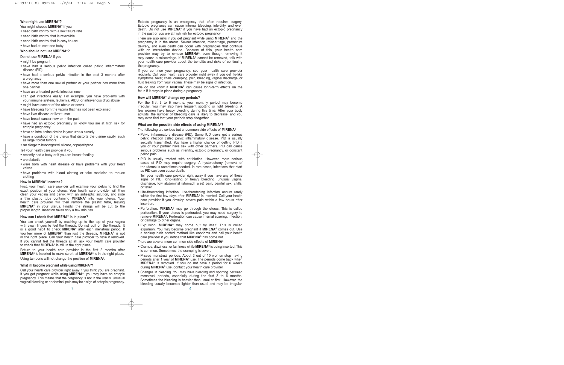# **Who might use MIRENA**®**?**

You might choose **MIRENA**® if you

- need birth control with a low failure rate
- need birth control that is reversible
- need birth control that is easy to use
- have had at least one baby
- **Who should not use MIRENA**®**?**

# Do not use **MIRENA**® if you

• might be pregnant

- have had a serious pelvic infection called pelvic inflammatory disease (PID)
- have had a serious pelvic infection in the past 3 months after a pregnancy
- have more than one sexual partner or your partner has more than one partner
- have an untreated pelvic infection now
- can get infections easily. For example, you have problems with your immune system, leukemia, AIDS, or intravenous drug abuse
- might have cancer of the uterus or cervix
- have bleeding from the vagina that has not been explained
- have liver disease or liver tumor
- have breast cancer now or in the past
- have had an ectopic pregnancy or know you are at high risk for ectopic pregnancy
- have an intrauterine device in your uterus already
- have a condition of the uterus that distorts the uterine cavity, such as large fibroid tumors
- are allergic to levonorgestrel, silicone, or polyethylene

Tell your health care provider if you

- recently had a baby or if you are breast feeding
- are diabetic
- were born with heart disease or have problems with your heart valves
- have problems with blood clotting or take medicine to reduce clotting

# **How is MIRENA**® **inserted?**

First, your health care provider will examine your pelvis to find the exact position of your uterus. Your health care provider will then clean your vagina and cervix with an antiseptic solution, and slide a thin plastic tube containing **MIRENA**® into your uterus. Your health care provider will then remove the plastic tube, leaving **MIRENA**® in your uterus. Finally, the strings will be cut to the proper length. Insertion takes only a few minutes.

# **How can I check that MIRENA**® **is in place?**

You can check yourself by reaching up to the top of your vagina with clean fingers to feel the threads. Do not pull on the threads. It is a good habit to check **MIRENA**® after each menstrual period. If you feel more of **MIRENA**® than just the threads, **MIRENA**® is not in the right place. Call your health care provider to have it removed. If you cannot feel the threads at all, ask your health care provider to check that **MIRENA**® is still in the right place.

Return to your health care provider in the first 3 months after **MIRENA**® is inserted to make sure that **MIRENA**® is in the right place. Using tampons will not change the position of **MIRENA**®.

**What if I become pregnant while using MIRENA**®**?**

Call your health care provider right away if you think you are pregnant. If you get pregnant while using **MIRENA**®, you may have an ectopic pregnancy. This means that the pregnancy is not in the uterus. Unusual vaginal bleeding or abdominal pain may be a sign of ectopic pregnancy. Ectopic pregnancy is an emergency that often requires surgery. Ectopic pregnancy can cause internal bleeding, infertility, and even death. Do not use **MIRENA**® if you have had an ectopic pregnancy in the past or you are at high risk for ectopic pregnancy.

There are also risks if you get pregnant while using **MIRENA**® and the pregnancy is in the uterus. Severe infection, miscarriage, premature delivery, and even death can occur with pregnancies that continue with an intrauterine device. Because of this, your health care provider may try to remove **MIRENA**®, even though removing it may cause a miscarriage. If **MIRENA**® cannot be removed, talk with your health care provider about the benefits and risks of continuing the pregnancy.

If you continue your pregnancy, see your health care provider regularly. Call your health care provider right away if you get flu-like symptoms, fever, chills, cramping, pain, bleeding, vaginal discharge, or fluid leaking from your vagina. These may be signs of infection.

We do not know if **MIRENA**® can cause long-term effects on the fetus if it stays in place during a pregnancy.

# **How will MIRENA**® **change my periods?**

For the first 3 to 6 months, your monthly period may become irregular. You may also have frequent spotting or light bleeding. A few women have heavy bleeding during this time. After your body adjusts, the number of bleeding days is likely to decrease, and you may even find that your periods stop altogether.

# **What are the possible side effects of using MIRENA**®**?**

- The following are serious but uncommon side effects of **MIRENA**®
- Pelvic inflammatory disease (PID). Some IUD users get a serious pelvic infection called pelvic inflammatory disease. PID is usually sexually transmitted. You have a higher chance of getting PID if you or your partner have sex with other partners. PID can cause serious problems such as infertility, ectopic pregnancy, or constant pelvic pain.
- PID is usually treated with antibiotics. However, more serious cases of PID may require surgery. A hysterectomy (removal of the uterus) is sometimes needed. In rare cases, infections that start as PID can even cause death.

 Tell your health care provider right away if you have any of these signs of PID: long-lasting or heavy bleeding, unusual vaginal discharge, low abdominal (stomach area) pain, painful sex, chills, or fever.

- Life-threatening infection. Life-threatening infection occurs rarely within the first few days after **MIRENA**® is inserted. Call your health care provider if you develop severe pain within a few hours after insertion.
- Perforation. **MIRENA**® may go through the uterus. This is called perforation. If your uterus is perforated, you may need surgery to remove **MIRENA**®. Perforation can cause internal scarring, infection, or damage to other organs.
- Expulsion. **MIRENA**® may come out by itself. This is called expulsion. You may become pregnant if **MIRENA**® comes out. Use a backup birth control method like condoms and call your health care provider if you notice that **MIRENA**® has come out.
- There are several more common side effects of **MIRENA**®
- Cramps, dizziness, or faintness while **MIRENA**® is being inserted. This is common. Sometimes, the cramping is severe.
- Missed menstrual periods. About 2 out of 10 women stop having periods after 1 year of **MIRENA**® use. The periods come back when **MIRENA**® is removed. If you do not have a period for 6 weeks during **MIRENA**® use, contact your health care provider.
- Changes in bleeding. You may have bleeding and spotting between menstrual periods, especially during the first 3 to 6 months. Sometimes the bleeding is heavier than usual at first. However, the bleeding usually becomes lighter than usual and may be irregular.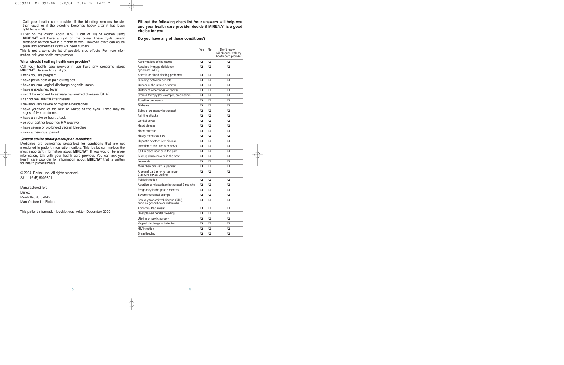Call your health care provider if the bleeding remains heavier than usual or if the bleeding becomes heavy after it has been light for a while.

• Cyst on the ovary. About 10% (1 out of 10) of women using **MIRENA**® will have a cyst on the ovary. These cysts usually disappear on their own in a month or two. However, cysts can cause pain and sometimes cysts will need surgery.

This is not a complete list of possible side effects. For more information, ask your health care provider.

# **When should I call my health care provider?**

Call your health care provider if you have any concerns about **MIRENA**®. Be sure to call if you

- think you are pregnant
- have pelvic pain or pain during sex
- have unusual vaginal discharge or genital sores
- have unexplained fever
- might be exposed to sexually transmitted diseases (STDs)
- cannot feel **MIRENA**®'s threads
- develop very severe or migraine headaches
- have yellowing of the skin or whites of the eyes. These may be signs of liver problems.
- have a stroke or heart attack
- or your partner becomes HIV positive
- have severe or prolonged vaginal bleeding
- miss a menstrual period

# **General advice about prescription medicines**

Medicines are sometimes prescribed for conditions that are not mentioned in patient information leaflets. This leaflet summarizes the most important information about **MIRENA**®. If you would like more information, talk with your health care provider. You can ask your health care provider for information about **MIRENA**® that is written for health professionals.

© 2004, Berlex, Inc. All rights reserved. 2311116 (B) 6009301

Manufactured for: Berlex Montville, NJ 07045 Manufactured in Finland

This patient information booklet was written December 2000.

**Fill out the following checklist. Your answers will help you and your health care provider decide if MIRENA**® **is a good choice for you.**

# **Do you have any of these conditions?**

|                                                                       | Yes | No | Don't know-<br>will discuss with my<br>health care provider |
|-----------------------------------------------------------------------|-----|----|-------------------------------------------------------------|
| Abnormalities of the uterus                                           | ❏   | ▫  | □                                                           |
| Acquired immune deficiency<br>syndrome (AIDS)                         | ◘   | □  | ❏                                                           |
| Anemia or blood clotting problems                                     | ు   | ◘  | ❏                                                           |
| Bleeding between periods                                              | o   | o  | o                                                           |
| Cancer of the uterus or cervix                                        | ❏   | ◻  | ◻                                                           |
| History of other types of cancer                                      | ు   | o  | ❏                                                           |
| Steroid therapy (for example, prednisone)                             | ు   | o  | o                                                           |
| Possible pregnancy                                                    | ▫   | o  | ❏                                                           |
| <b>Diabetes</b>                                                       | □   | ◻  | ◻                                                           |
| Ectopic pregnancy in the past                                         | ు   | o  | o                                                           |
| Fainting attacks                                                      | o   | o  | ❏                                                           |
| Genital sores                                                         | ు   | o  | ❏                                                           |
| Heart disease                                                         | □   | ▫  | ◻                                                           |
| Heart murmur                                                          | ❏   | ❏  | ❏                                                           |
| Heavy menstrual flow                                                  | ❏   | ❏  | ❏                                                           |
| Hepatitis or other liver disease                                      | ు   | o  | o                                                           |
| Infection of the uterus or cervix                                     | ▫   | ❏  | ❏                                                           |
| IUD in place now or in the past                                       | ❏   | ❏  | ❏                                                           |
| IV drug abuse now or in the past                                      | Q   | o  | o                                                           |
| Leukemia                                                              | ▫   | ❏  | ❏                                                           |
| More than one sexual partner                                          | ▫   | ❏  | o                                                           |
| A sexual partner who has more<br>than one sexual partner              | ❏   | ❏  | ❏                                                           |
| Pelvic infection                                                      | o   | o  | ▫                                                           |
| Abortion or miscarriage in the past 2 months                          | o   | o  | o                                                           |
| Pregnancy in the past 2 months                                        | ❏   | ❏  | o                                                           |
| Severe menstrual cramps                                               | ▫   | o  | o                                                           |
| Sexually transmitted disease (STD),<br>such as gonorrhea or chlamydia | o   | o  | o                                                           |
| Abnormal Pap smear                                                    | ❏   | ❏  | ▫                                                           |
| Unexplained genital bleeding                                          | o   | o  | o                                                           |
| Uterine or pelvic surgery                                             | ❏   | ▫  | ❏                                                           |
| Vaginal discharge or infection                                        | o   | o  | ❏                                                           |
| <b>HIV</b> infection                                                  | ❏   | ❏  | ❏                                                           |
| Breastfeeding                                                         | o   | о  | ▫                                                           |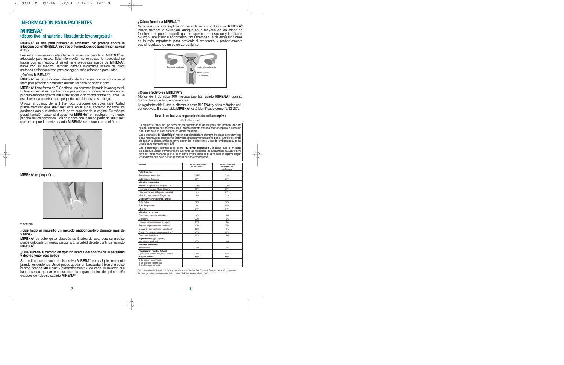# **INFORMACIÓN PARA PACIENTES**

# **MIRENA**®

# **(dispositivo intrauterino liberadorde levonorgestrel)**

# **MIRENA**® **se usa para prevenir el embarazo. No protege contra la infección por el VIH (SIDA) ni otras enfermedades de transmisión sexual (ETS).**

Lea esta información detenidamente antes de decidir si **MIRENA**® es adecuado para usted. Esta información no remplaza la necesidad de hablar con su médico. Si usted tiene preguntas acerca de **MIRENA**®, hable con su médico. También debería informarse acerca de otros métodos anticonceptivos para escoger el más adecuado para usted.

# **¿Qué es MIRENA**®**?**

**MIRENA**® es un dispositivo liberador de hormonas que se coloca en el útero para prevenir el embarazo durante un plazo de hasta 5 años.

**MIRENA**® tiene forma de T. Contiene una hormona llamada levonorgestrel. El levonorgestrel es una hormona progestina comúnmente usada en las píldoras anticonceptivas. **MIRENA**® libera la hormona dentro del útero. De esta hormona penetran sólo pequeñas cantidades en su sangre.

Unidos al cuerpo de la T hay dos cordones de color café. Usted puede verificar que **MIRENA**® está en el lugar correcto tocando los cordones con sus dedos en la parte superior de la vagina. Su médico podrá también sacar el dispositivo **MIRENA**® en cualquier momento, jalando de los cordones. Los cordones son la única parte de **MIRENA**® que usted puede sentir cuando **MIRENA**® se encuentra en el útero.



# **MIRENA**® es pequeño...



# y flexible

**¿Qué hago si necesito un método anticonceptivo durante más de 5 años?**

**MIRENA**® se debe quitar después de 5 años de uso, pero su médico puede colocarle un nuevo dispositivo, si usted decide continuar usando **MIRENA**®.

# **¿Qué sucede si cambio de opinión acerca del control de la natalidad y decido tener otro bebé?**

Su médico puede sacar el dispositivo **MIRENA**® en cualquier momento jalando los cordones. Usted puede quedar embarazada ni bien el médico le haya sacado **MIRENA**®. Aproximadamente 8 de cada 10 mujeres que han deseado quedar embarazadas lo logran dentro del primer año después de haberse sacado **MIRENA**®.

# **¿Cómo funciona MIRENA**®**?**

No existe una sola explicación para definir cómo funciona **MIRENA**® Puede detener la ovulación, aunque en la mayoría de los casos no funciona así; puede impedir que el esperma se desplace y fertilice el óvulo; puede afinar el endometrio. No sabemos cuál de estas funciones es la más importante para prevenir el embarazo y probablemente sea el resultado de un esfuerzo conjunto.



# **¿Cuán efectivo es MIRENA**®**?**

Menos de 1 de cada 100 mujeres que han usado **MIRENA**® durante 5 años, han quedado embarazadas.

La siguiente tabla ilustra la diferencia entre **MIRENA**® y otros métodos anticonceptivos. En esta tabla **MIRENA**® está identificado como "LNG 20".

### **Tasa de embarazos según el método anticonceptivo**

*(En 1 año de uso)*

La siguiente tabla incluye porcentajes aproximados de mujeres con probabilidad de quedar embarazadas mientras usan un determinado método anticonceptivo durante un año. Este cálculo está basado en varios estudios.

Los porcentajes de **"Uso típico"**indican que el método *no siempre fue usado correctamente* o que *no fue usado en todas las instancias de encuentros sexuales* (por ej. la mujer se olvidó de tomar la píldora anticonceptiva según las indicaciones y quedó embarazada), o fue *usado correctamente* pero *falló.*

Los porcentajes identificados como **"Mínimo esperado",** indican que el método siempre fue *usado correctamente en todas las instancias de encuentros sexuales pero falló de todas maneras* (por ej. la mujer siempre tomó la píldora anticonceptiva según las indicaciones pero de todas formas quedó embarazada.)

| Método                                                                            | Uso Típico Porcentaje<br>de embarazos | Mínimo esperado<br>Porcentaie de<br>embarazos |
|-----------------------------------------------------------------------------------|---------------------------------------|-----------------------------------------------|
| Esterilización                                                                    |                                       |                                               |
| Esterilización masculina                                                          | 0.15%                                 | 0.1%                                          |
| Esterilización femenina                                                           | 0.5%                                  | 0.5%                                          |
| Métodos hormonales:                                                               |                                       |                                               |
| Implante (Norplant <sup>*</sup> and Norplant-2 <sup>**</sup> )                    | 0.05%                                 | 0.05%                                         |
| Hormona inyectada (Depo-Provera)                                                  | 0.3%                                  | 0.3%                                          |
| Pildora combinada (Estrógeno/Progestina)                                          | 5%                                    | 0.1%                                          |
| Minipíldora (solamente Progestina)                                                | 5%                                    | 0.5%                                          |
| Dispositivos Intrauterinos: (DIUs):                                               |                                       |                                               |
| T de Cobre                                                                        | 0.8%                                  | 0.6%                                          |
| T de Progesterona                                                                 | 2%                                    | 1.5%                                          |
| LNG 20                                                                            | 0.1%                                  | 0.1%                                          |
| Métodos de barrera:                                                               |                                       |                                               |
| Condones masculinos de látex <sup>1</sup>                                         | 14%                                   | 3%                                            |
| Diafragma <sup>2</sup>                                                            | 20%                                   | 6%                                            |
| Esponja vaginal (mujeres sin hijos) <sup>3</sup>                                  | 20%                                   | 9%                                            |
| Esponja vaginal (mujeres con hijos) <sup>3</sup>                                  | 40%                                   | 20%                                           |
| Capuchón cervical (mujeres sin hijos) <sup>2</sup>                                | 20%                                   | 9%                                            |
| Capuchón cervical (mujeres con hijos) <sup>2</sup>                                | 40%                                   | 26%                                           |
| Condones femeninos                                                                | 21%                                   | 5%                                            |
| Espermicidas: (gel. espuma.<br>supositorios, película)                            | 26%                                   | 6%                                            |
| Métodos Naturales:                                                                |                                       |                                               |
| Interrupción                                                                      | 19%                                   | 4%                                            |
| <b>Planificación Familiar Natural</b><br>(calendario, temperatura, moco cervical) | 25%                                   | 1-9%                                          |
| Ningún Método:                                                                    | 85%                                   | 85%                                           |
| 1 Se usó sin espermicida<br>2 Se usó con espermicida<br>3 Contiene espermicida    |                                       |                                               |

Datos tomados de: Trusell J. Contraceptive efficacy. In Hatcher RA, Trussel J, Stewart F, et al. *Contraceptive Technology: Seventeenth Revised Edition. New York, NY: Ardent Media, 1998.*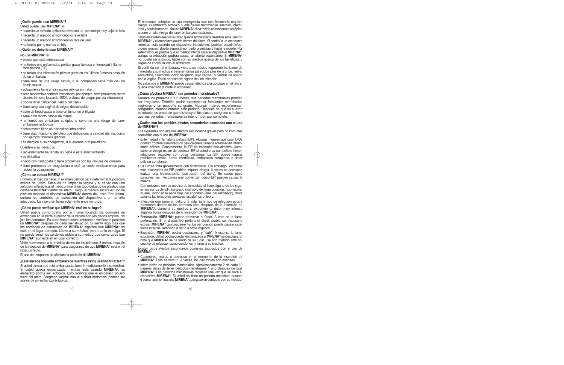# **¿Quién puede usar MIRENA**®**?**

Usted puede usar **MIRENA**® si:

- necesita un método anticonceptivo con un porcentaje muy bajo de falla
- necesita un método anticonceptivo reversible
- necesita un método anticonceptivo fácil de usar
- ha tenido por lo menos un hijo

# **¿Quién no debería usar MIRENA**®**?**

# No use **MIRENA**® si:

- piensa que está embarazada
- ha tenido una enfermedad pélvica grave llamada enfermedad inflamatoria pélvica (EIP)
- ha tenido una inflamación pélvica grave en los últimos 3 meses después de un embarazo
- tiene más de una pareja sexual, o su compañero tiene más de una pareja sexual
- actualmente tiene una infección pélvica sin tratar
- tiene tendencia a contraer infecciones, por ejemplo, tiene problemas con el sistema inmune, leucemia, SIDA, o abusa de drogas por vía intravenosa
- podría tener cáncer del útero o del cérvix
- tiene sangrado vaginal de origen desconocido
- sufre de hepatopatía o tiene un tumor en el hígado
- tiene o ha tenido cáncer de mama
- ha tenido un embarazo ectópico o corre un alto riesgo de tener embarazos ectópicos
- actualmente tiene un dispositivo intrauterino
- tiene algún trastorno del útero que distorsiona la cavidad uterina, como por ejemplo fibromas grandes
- es alérgica al levonorgestrel, a la silicona o al polietileno

Cuéntele a su médico si:

- recientemente ha tenido un bebé o está amamantando
- es diabética
- nació con cardiopatía o tiene problemas con las válvulas del corazón
- tiene problemas de coagulación o está tomando medicamentos para reducir la coagulación

### **¿Cómo se coloca MIRENA**®**?**

Primero, el médico hace un examen pélvico para determinar la posición exacta del útero. Después de limpiar la vagina y el cérvix con una solución antiséptica, el médico inserta un tubo delgado de plástico que contiene **MIRENA**® dentro del útero. Luego, el médico sacará el tubo de plástico dejando el dispositivo **MIRENA**® dentro del útero. Por último, cortará los cordones de extracción del dispositivo a un tamaño adecuado. La inserción toma solamente unos minutos.

# **¿Cómo puedo verificar que MIRENA**® **está en su lugar?**

Usted puede comprobarlo por sí misma tocando los cordones de extracción en la parte superior de la vagina con los dedos limpios. No jale los cordones. Es buen hábito acostumbrarse a verificar la posición de **MIRENA**® después de cada menstruación. Si siente algo más que los cordones de extracción de **MIRENA**® significa que **MIRENA**® no está en el lugar correcto. Llame a su médico, para que lo extraiga. Si no puede sentir los cordones pídale a su médico que compruebe que **MIRENA**® aún está en el lugar correcto.

Visite nuevamente a su médico dentro de los primeros 3 meses después de la inserción de **MIRENA**® para asegurarse de que **MIRENA**® está en el lugar correcto.

El uso de tampones no afectará la posición de **MIRENA**®.

### **¿Qué sucede si quedo embarazada mientras estoy usando MIRENA**®**?**

Si usted piensa que está embarazada, llame inmediatamente a su médico. Si usted queda embarazada mientras está usando **MIRENA**®, su embarazo podría ser ectópico. Esto significa que el embarazo ocurrió fuera del útero. Sangrado vaginal inusual o dolor abdominal podrían ser signos de un embarazo ectópico.

El embarazo ectópico es una emergencia que con frecuencia requiere cirugía. El embarazo ectópico puede causar hemorragias internas, infertilidad y hasta la muerte. No use **MIRENA**® si ha tenido un embarazo ectópico o corre un alto riesgo de tener embarazos ectópicos.

También existen riesgos si usted queda embarazada mientras está usando **MIRENA**® y el embarazo ocurre dentro del útero. Si continúa un embarazo mientras está usando un dispositivo intrauterino, podrían ocurrir infecciones graves, aborto espontáneo, parto prematuro y hasta la muerte. Por este motivo, es posible que su médico intente sacar el dispositivo **MIRENA**®, aunque la extracción pudiera causar un aborto espontáneo. Si **MIRENA**® no puede ser extraído, hable con su médico acerca de los beneficios y riegos de continuar con el embarazo.

Si continúa con el embarazo, visite a su médico regularmente. Llame de inmediato a su médico si tiene síntomas parecidos a los de la gripe, fiebre, escalofríos, calambres, dolor, sangrado, flujo vaginal, o pérdida de líquido por la vagina. Estos podrían ser signos de una infección.

No sabemos si **MIRENA**® puede causar efectos a largo plazo en el feto si queda insertado durante el embarazo

# **¿Cómo afectará MIRENA**® **mis períodos menstruales?**

Durante los primeros 3 a 6 meses, sus períodos menstruales podrían ser irregulares. También podría experimentar frecuentes manchados vaginales o un pequeño sangrado. Algunas mujeres experimentan sangrados intensos durante este período. Después de que su cuerpo se adapte, es probable que disminuyan los días de sangrado e incluso que sus períodos menstruales se interrumpan por completo.

# **¿Cuáles son los posibles efectos secundarios asociados con el uso de MIRENA**®**?**

Los siguientes son algunos efectos secundarios graves pero no comunes asociados con el uso de **MIRENA**®

- Enfermedad inflamatoria pélvica (EIP). Algunas mujeres que usan DIUs podrían contraer una infección pélvica grave llamada enfermedad inflamatoria pélvica. Generalmente, la EIP se transmite sexualmente. Usted corre un riesgo mayor de contraer EIP si usted o su compañero tienen relaciones sexuales con otras personas. La EIP puede causar problemas serios, como infertilidad, embarazos ectópicos, o dolor pélvico constante.
- La EIP se trata generalmente con antibióticos. Sin embargo, los casos más avanzados de EIP podrían requerir cirugía. A veces es necesario realizar una histerectomía (extirpación del útero). En casos poco comunes, las infecciones que comienzan como EIP pueden causar la muerte.

Comuníquese con su médico de inmediato si tiene alguno de los siguientes signos de EIP: sangrado intenso o de larga duración, flujo vaginal inusual, dolor en la parte baja del abdomen (área del estómago), dolor durante las relaciones sexuales, escalofríos o fiebre.

- Infección que pone en peligro la vida. Este tipo de infección ocurre raramente dentro de los primeros días después de la inserción de **MIRENA**®. Llame a su médico si experimenta dolor muy intenso algunas horas después de la inserción de **MIRENA**®.
- Perforación. **MIRENA**® puede atravesar el útero. A esto se le llama perforación. Si el dispositivo perfora el útero, podría ser necesario extraer **MIRENA**® quirúrgicamente. La perforación puede causar cicatrices internas, infección o daño a otros órganos.
- Expulsión. **MIRENA**® podría desplazarse y "salir". A esto se le llama expulsión. Usted podría quedar embarazada si **MIRENA**® se desplaza. Si nota que **MIRENA**® se ha salido de su lugar, use otro método anticonceptivo de refuerzo, como condones, y llame a su médico.

Existen otros efectos secundarios comunes asociados con el uso de **MIRENA**®

- Calambres, mareo o desmayo en el momento de la inserción de **MIRENA**®. Esto es común. A veces, los calambres son intensos.
- Interrupción de períodos menstruales. Aproximadamente 2 de cada 10 mujeres dejan de tener períodos menstruales 1 año después de usar **MIRENA**®. Los períodos menstruales regresan una vez que se saca el dispositivo **MIRENA**®. Si usted no tiene un período menstrual durante 6 semanas mientras usa **MIRENA**®, póngase en contacto con su médico.